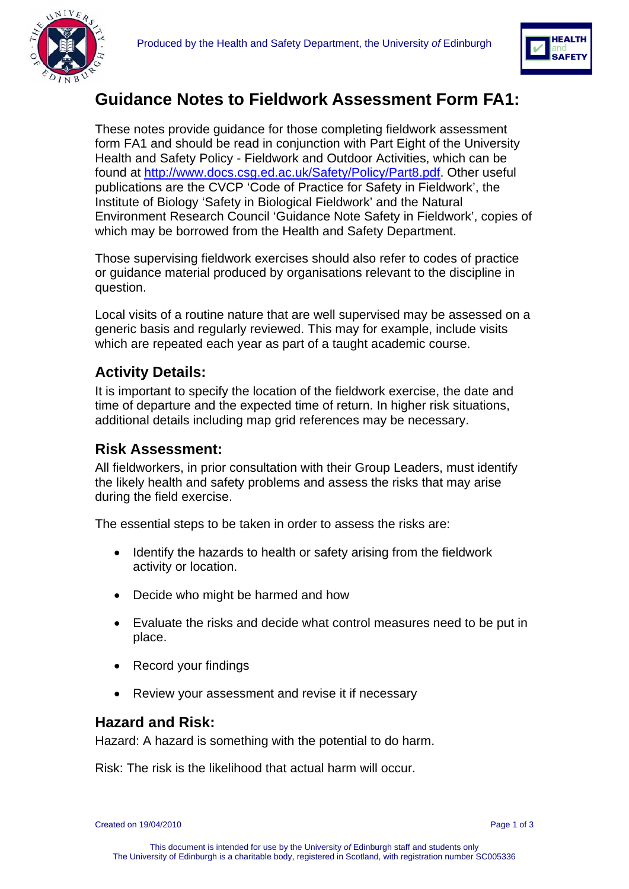



# **Guidance Notes to Fieldwork Assessment Form FA1:**

These notes provide guidance for those completing fieldwork assessment form FA1 and should be read in conjunction with Part Eight of the University Health and Safety Policy - Fieldwork and Outdoor Activities, which can be found at [http://www.docs.csg.ed.ac.uk/Safety/Policy/Part8.pdf.](http://www.docs.csg.ed.ac.uk/Safety/Policy/Part8.pdf) Other useful publications are the CVCP 'Code of Practice for Safety in Fieldwork', the Institute of Biology 'Safety in Biological Fieldwork' and the Natural Environment Research Council 'Guidance Note Safety in Fieldwork', copies of which may be borrowed from the Health and Safety Department.

Those supervising fieldwork exercises should also refer to codes of practice or guidance material produced by organisations relevant to the discipline in question.

Local visits of a routine nature that are well supervised may be assessed on a generic basis and regularly reviewed. This may for example, include visits which are repeated each year as part of a taught academic course.

## **Activity Details:**

It is important to specify the location of the fieldwork exercise, the date and time of departure and the expected time of return. In higher risk situations, additional details including map grid references may be necessary.

### **Risk Assessment:**

All fieldworkers, in prior consultation with their Group Leaders, must identify the likely health and safety problems and assess the risks that may arise during the field exercise.

The essential steps to be taken in order to assess the risks are:

- Identify the hazards to health or safety arising from the fieldwork activity or location.
- Decide who might be harmed and how
- Evaluate the risks and decide what control measures need to be put in place.
- Record your findings
- Review your assessment and revise it if necessary

### **Hazard and Risk:**

Hazard: A hazard is something with the potential to do harm.

Risk: The risk is the likelihood that actual harm will occur.

Created on 19/04/2010 Page 1 of 3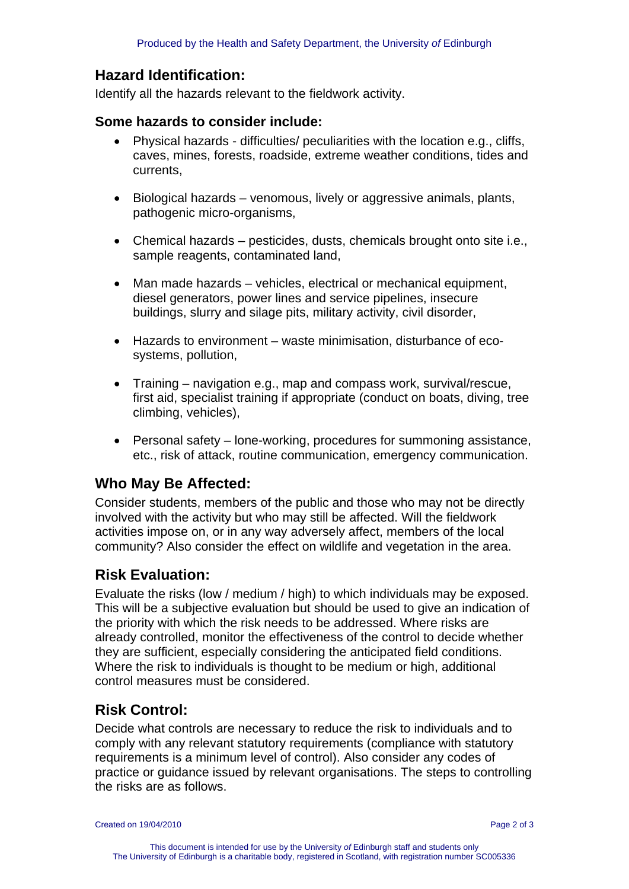### **Hazard Identification:**

Identify all the hazards relevant to the fieldwork activity.

#### **Some hazards to consider include:**

- Physical hazards difficulties/ peculiarities with the location e.g., cliffs, caves, mines, forests, roadside, extreme weather conditions, tides and currents,
- Biological hazards venomous, lively or aggressive animals, plants, pathogenic micro-organisms,
- Chemical hazards pesticides, dusts, chemicals brought onto site i.e., sample reagents, contaminated land,
- Man made hazards vehicles, electrical or mechanical equipment, diesel generators, power lines and service pipelines, insecure buildings, slurry and silage pits, military activity, civil disorder,
- Hazards to environment waste minimisation, disturbance of ecosystems, pollution,
- Training navigation e.g., map and compass work, survival/rescue, first aid, specialist training if appropriate (conduct on boats, diving, tree climbing, vehicles),
- Personal safety lone-working, procedures for summoning assistance, etc., risk of attack, routine communication, emergency communication.

### **Who May Be Affected:**

Consider students, members of the public and those who may not be directly involved with the activity but who may still be affected. Will the fieldwork activities impose on, or in any way adversely affect, members of the local community? Also consider the effect on wildlife and vegetation in the area.

### **Risk Evaluation:**

Evaluate the risks (low / medium / high) to which individuals may be exposed. This will be a subjective evaluation but should be used to give an indication of the priority with which the risk needs to be addressed. Where risks are already controlled, monitor the effectiveness of the control to decide whether they are sufficient, especially considering the anticipated field conditions. Where the risk to individuals is thought to be medium or high, additional control measures must be considered.

### **Risk Control:**

Decide what controls are necessary to reduce the risk to individuals and to comply with any relevant statutory requirements (compliance with statutory requirements is a minimum level of control). Also consider any codes of practice or guidance issued by relevant organisations. The steps to controlling the risks are as follows.

Created on 19/04/2010 Page 2 of 3